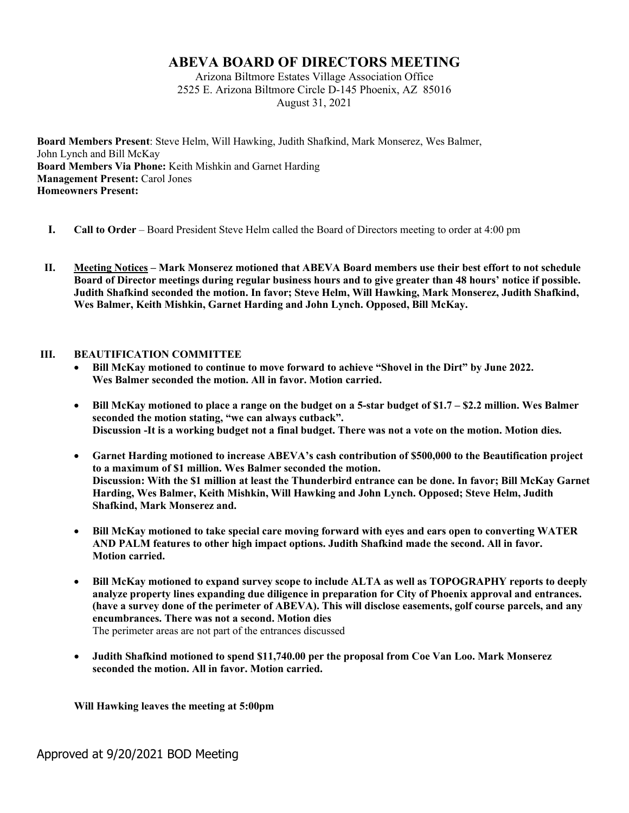## **ABEVA BOARD OF DIRECTORS MEETING**

Arizona Biltmore Estates Village Association Office 2525 E. Arizona Biltmore Circle D-145 Phoenix, AZ 85016 August 31, 2021

**Board Members Present**: Steve Helm, Will Hawking, Judith Shafkind, Mark Monserez, Wes Balmer, John Lynch and Bill McKay **Board Members Via Phone:** Keith Mishkin and Garnet Harding **Management Present: Carol Jones Homeowners Present:** 

- **I. Call to Order** Board President Steve Helm called the Board of Directors meeting to order at 4:00 pm
- **II. Meeting Notices – Mark Monserez motioned that ABEVA Board members use their best effort to not schedule Board of Director meetings during regular business hours and to give greater than 48 hours' notice if possible. Judith Shafkind seconded the motion. In favor; Steve Helm, Will Hawking, Mark Monserez, Judith Shafkind, Wes Balmer, Keith Mishkin, Garnet Harding and John Lynch. Opposed, Bill McKay.**

## **III. BEAUTIFICATION COMMITTEE**

- **Bill McKay motioned to continue to move forward to achieve "Shovel in the Dirt" by June 2022. Wes Balmer seconded the motion. All in favor. Motion carried.**
- **Bill McKay motioned to place a range on the budget on a 5-star budget of \$1.7 – \$2.2 million. Wes Balmer seconded the motion stating, "we can always cutback". Discussion -It is a working budget not a final budget. There was not a vote on the motion. Motion dies.**
- **Garnet Harding motioned to increase ABEVA's cash contribution of \$500,000 to the Beautification project to a maximum of \$1 million. Wes Balmer seconded the motion. Discussion: With the \$1 million at least the Thunderbird entrance can be done. In favor; Bill McKay Garnet Harding, Wes Balmer, Keith Mishkin, Will Hawking and John Lynch. Opposed; Steve Helm, Judith Shafkind, Mark Monserez and.**
- **Bill McKay motioned to take special care moving forward with eyes and ears open to converting WATER AND PALM features to other high impact options. Judith Shafkind made the second. All in favor. Motion carried.**
- **Bill McKay motioned to expand survey scope to include ALTA as well as TOPOGRAPHY reports to deeply analyze property lines expanding due diligence in preparation for City of Phoenix approval and entrances. (have a survey done of the perimeter of ABEVA). This will disclose easements, golf course parcels, and any encumbrances. There was not a second. Motion dies** The perimeter areas are not part of the entrances discussed
- **Judith Shafkind motioned to spend \$11,740.00 per the proposal from Coe Van Loo. Mark Monserez seconded the motion. All in favor. Motion carried.**

**Will Hawking leaves the meeting at 5:00pm**